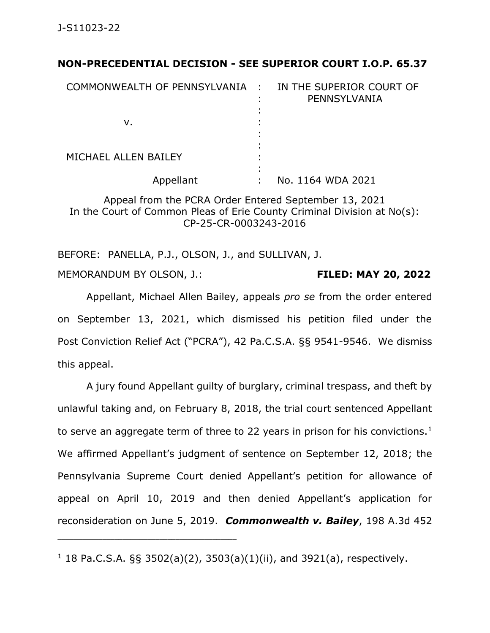## **NON-PRECEDENTIAL DECISION - SEE SUPERIOR COURT I.O.P. 65.37**

| COMMONWEALTH OF PENNSYLVANIA : IN THE SUPERIOR COURT OF | PENNSYLVANIA      |
|---------------------------------------------------------|-------------------|
| ν.                                                      |                   |
| MICHAEL ALLEN BAILEY                                    |                   |
| Appellant                                               | No. 1164 WDA 2021 |

Appeal from the PCRA Order Entered September 13, 2021 In the Court of Common Pleas of Erie County Criminal Division at No(s): CP-25-CR-0003243-2016

BEFORE: PANELLA, P.J., OLSON, J., and SULLIVAN, J. MEMORANDUM BY OLSON, J.: **FILED: MAY 20, 2022**

Appellant, Michael Allen Bailey, appeals *pro se* from the order entered on September 13, 2021, which dismissed his petition filed under the Post Conviction Relief Act ("PCRA"), 42 Pa.C.S.A. §§ 9541-9546. We dismiss this appeal.

A jury found Appellant guilty of burglary, criminal trespass, and theft by unlawful taking and, on February 8, 2018, the trial court sentenced Appellant to serve an aggregate term of three to 22 years in prison for his convictions.<sup>1</sup> We affirmed Appellant's judgment of sentence on September 12, 2018; the Pennsylvania Supreme Court denied Appellant's petition for allowance of appeal on April 10, 2019 and then denied Appellant's application for reconsideration on June 5, 2019. *Commonwealth v. Bailey*, 198 A.3d 452

\_\_\_\_\_\_\_\_\_\_\_\_\_\_\_\_\_\_\_\_\_\_\_\_\_\_\_\_\_\_\_\_\_\_\_\_\_\_\_\_\_\_\_\_

 $1$  18 Pa.C.S.A. §§ 3502(a)(2), 3503(a)(1)(ii), and 3921(a), respectively.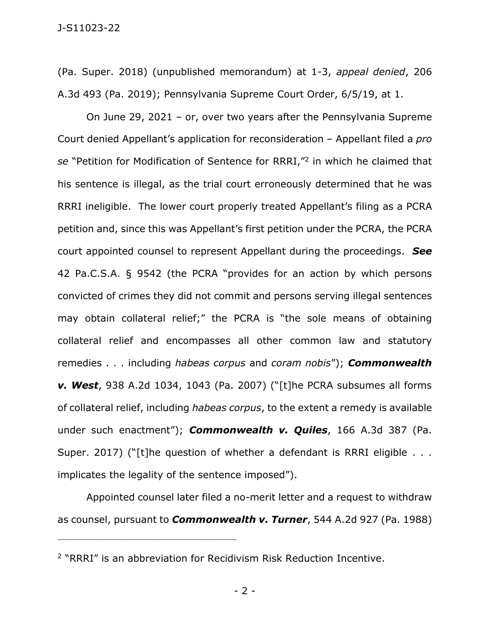(Pa. Super. 2018) (unpublished memorandum) at 1-3, *appeal denied*, 206 A.3d 493 (Pa. 2019); Pennsylvania Supreme Court Order, 6/5/19, at 1.

On June 29, 2021 – or, over two years after the Pennsylvania Supreme Court denied Appellant's application for reconsideration – Appellant filed a *pro se* "Petition for Modification of Sentence for RRRI," 2 in which he claimed that his sentence is illegal, as the trial court erroneously determined that he was RRRI ineligible. The lower court properly treated Appellant's filing as a PCRA petition and, since this was Appellant's first petition under the PCRA, the PCRA court appointed counsel to represent Appellant during the proceedings. *See* 42 Pa.C.S.A. § 9542 (the PCRA "provides for an action by which persons convicted of crimes they did not commit and persons serving illegal sentences may obtain collateral relief;" the PCRA is "the sole means of obtaining collateral relief and encompasses all other common law and statutory remedies . . . including *habeas corpus* and *coram nobis*"); *Commonwealth v. West*, 938 A.2d 1034, 1043 (Pa. 2007) ("[t]he PCRA subsumes all forms of collateral relief, including *habeas corpus*, to the extent a remedy is available under such enactment"); *Commonwealth v. Quiles*, 166 A.3d 387 (Pa. Super. 2017) ("[t]he question of whether a defendant is RRRI eligible . . . implicates the legality of the sentence imposed").

Appointed counsel later filed a no-merit letter and a request to withdraw as counsel, pursuant to *Commonwealth v. Turner*, 544 A.2d 927 (Pa. 1988)

\_\_\_\_\_\_\_\_\_\_\_\_\_\_\_\_\_\_\_\_\_\_\_\_\_\_\_\_\_\_\_\_\_\_\_\_\_\_\_\_\_\_\_\_

- 2 -

<sup>2</sup> "RRRI" is an abbreviation for Recidivism Risk Reduction Incentive.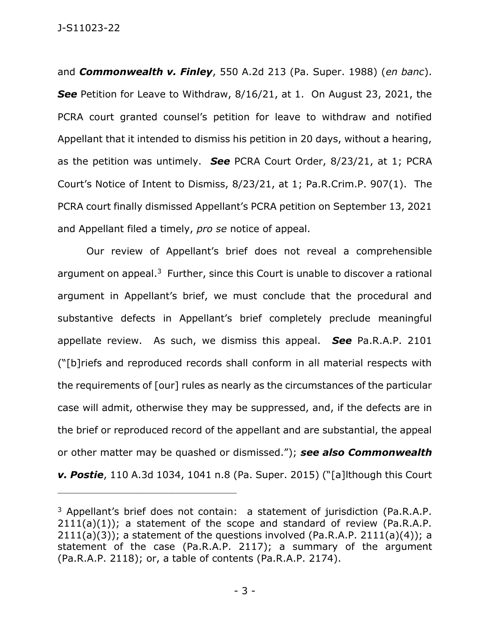and *Commonwealth v. Finley*, 550 A.2d 213 (Pa. Super. 1988) (*en banc*). *See* Petition for Leave to Withdraw, 8/16/21, at 1. On August 23, 2021, the PCRA court granted counsel's petition for leave to withdraw and notified Appellant that it intended to dismiss his petition in 20 days, without a hearing, as the petition was untimely. *See* PCRA Court Order, 8/23/21, at 1; PCRA Court's Notice of Intent to Dismiss, 8/23/21, at 1; Pa.R.Crim.P. 907(1). The PCRA court finally dismissed Appellant's PCRA petition on September 13, 2021 and Appellant filed a timely, *pro se* notice of appeal.

Our review of Appellant's brief does not reveal a comprehensible argument on appeal. $3$  Further, since this Court is unable to discover a rational argument in Appellant's brief, we must conclude that the procedural and substantive defects in Appellant's brief completely preclude meaningful appellate review. As such, we dismiss this appeal. *See* Pa.R.A.P. 2101 ("[b]riefs and reproduced records shall conform in all material respects with the requirements of [our] rules as nearly as the circumstances of the particular case will admit, otherwise they may be suppressed, and, if the defects are in the brief or reproduced record of the appellant and are substantial, the appeal or other matter may be quashed or dismissed."); *see also Commonwealth v. Postie*, 110 A.3d 1034, 1041 n.8 (Pa. Super. 2015) ("[a]lthough this Court

<sup>&</sup>lt;sup>3</sup> Appellant's brief does not contain: a statement of jurisdiction (Pa.R.A.P.  $2111(a)(1)$ ; a statement of the scope and standard of review (Pa.R.A.P.  $2111(a)(3)$ ; a statement of the questions involved (Pa.R.A.P. 2111(a)(4)); a statement of the case (Pa.R.A.P. 2117); a summary of the argument (Pa.R.A.P. 2118); or, a table of contents (Pa.R.A.P. 2174).